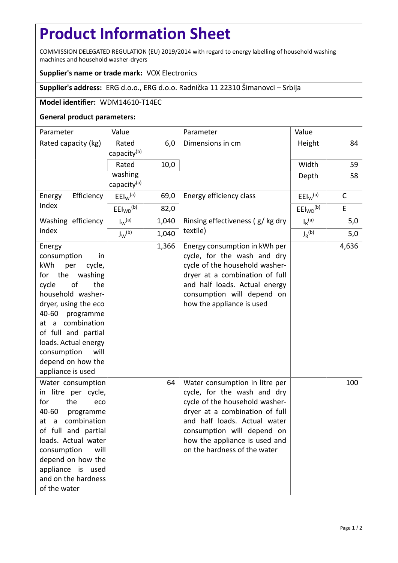## **Product Information Sheet**

COMMISSION DELEGATED REGULATION (EU) 2019/2014 with regard to energy labelling of household washing machines and household washer-dryers

## **Supplier's name or trade mark:** VOX Electronics

**Supplier's address:** ERG d.o.o., ERG d.o.o. Radnička 11 22310 Šimanovci – Srbija

## **Model identifier:** WDM14610-T14EC

## **General product parameters:**

| Parameter                                                                                                                                                                                                                                                                                           | Value                              |       | Parameter                                                                                                                                                                                                                                                        | Value                            |              |
|-----------------------------------------------------------------------------------------------------------------------------------------------------------------------------------------------------------------------------------------------------------------------------------------------------|------------------------------------|-------|------------------------------------------------------------------------------------------------------------------------------------------------------------------------------------------------------------------------------------------------------------------|----------------------------------|--------------|
| Rated capacity (kg)                                                                                                                                                                                                                                                                                 | Rated<br>capacity <sup>(b)</sup>   | 6,0   | Dimensions in cm                                                                                                                                                                                                                                                 | Height                           | 84           |
|                                                                                                                                                                                                                                                                                                     | Rated                              | 10,0  |                                                                                                                                                                                                                                                                  | Width                            | 59           |
|                                                                                                                                                                                                                                                                                                     | washing<br>capacity <sup>(a)</sup> |       |                                                                                                                                                                                                                                                                  | Depth                            | 58           |
| Efficiency<br>Energy<br>Index                                                                                                                                                                                                                                                                       | $E E I_W^{(a)}$                    | 69,0  | Energy efficiency class                                                                                                                                                                                                                                          | $E E I_W$ <sup>(a)</sup>         | $\mathsf{C}$ |
|                                                                                                                                                                                                                                                                                                     | EEl <sub>WD</sub> <sup>(b)</sup>   | 82,0  |                                                                                                                                                                                                                                                                  | EEl <sub>WD</sub> <sup>(b)</sup> | $\mathsf E$  |
| Washing efficiency<br>index                                                                                                                                                                                                                                                                         | $I_{W}^{(a)}$                      | 1,040 | Rinsing effectiveness (g/kg dry<br>textile)                                                                                                                                                                                                                      | $I_R$ <sup>(a)</sup>             | 5,0          |
|                                                                                                                                                                                                                                                                                                     | $J_W^{(b)}$                        | 1,040 |                                                                                                                                                                                                                                                                  | $J_R^{(b)}$                      | 5,0          |
| Energy<br>consumption<br>in<br>kWh<br>cycle,<br>per<br>for the<br>washing<br>cycle<br>of<br>the<br>household washer-<br>dryer, using the eco<br>40-60 programme<br>at a combination<br>of full and partial<br>loads. Actual energy<br>consumption<br>will<br>depend on how the<br>appliance is used |                                    | 1,366 | Energy consumption in kWh per<br>cycle, for the wash and dry<br>cycle of the household washer-<br>dryer at a combination of full<br>and half loads. Actual energy<br>consumption will depend on<br>how the appliance is used                                     |                                  | 4,636        |
| Water consumption<br>in litre per cycle,<br>for<br>the<br>eco<br>40-60<br>programme<br>combination<br>at a<br>of full and partial<br>loads. Actual water<br>consumption<br>will<br>depend on how the<br>appliance is used<br>and on the hardness<br>of the water                                    |                                    | 64    | Water consumption in litre per<br>cycle, for the wash and dry<br>cycle of the household washer-<br>dryer at a combination of full<br>and half loads. Actual water<br>consumption will depend on<br>how the appliance is used and<br>on the hardness of the water |                                  | 100          |